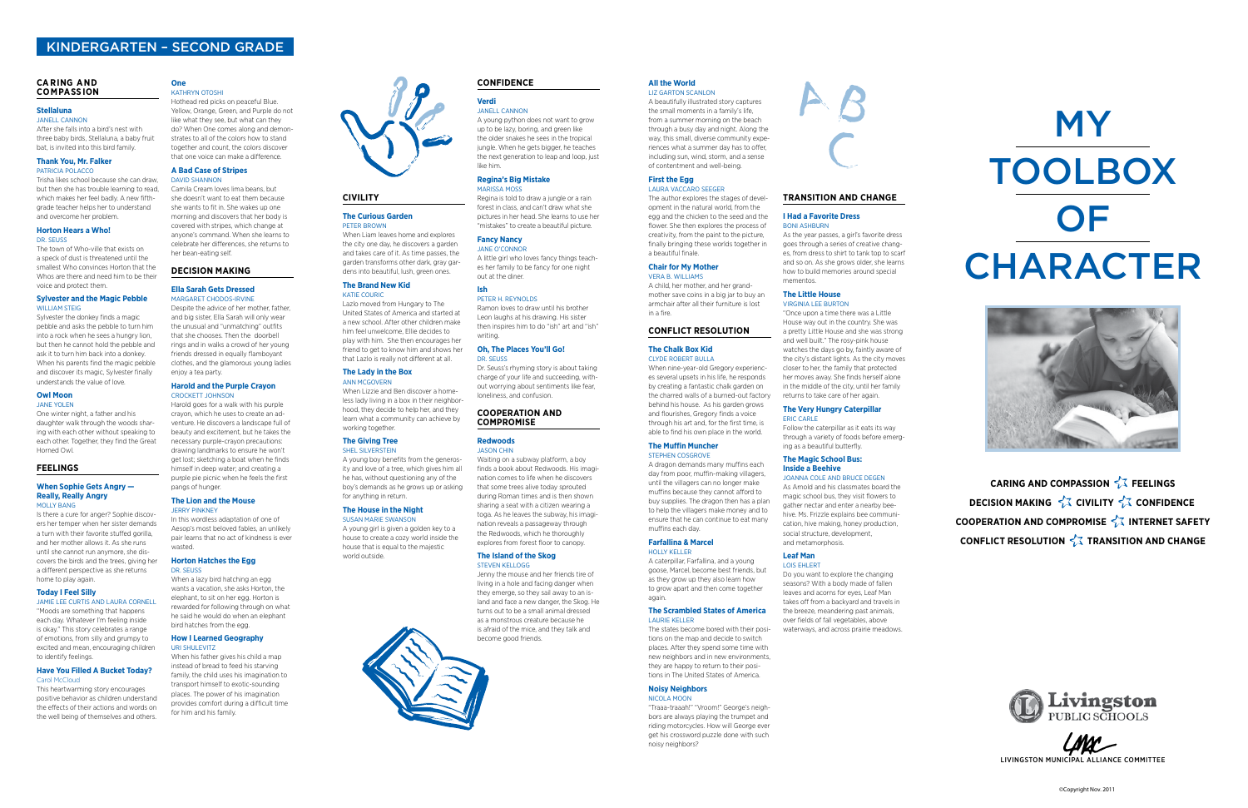# **Civility**

# **the Curious Garden** Peter Brown

#### **the Brand New Kid**  KATIE COURIC

When Liam leaves home and explores the city one day, he discovers a garden and takes care of it. As time passes, the garden transforms other dark, gray gardens into beautiful, lush, green ones.

#### **the lady in the Box ANN MCGOVERN**

Lazlo moved from Hungary to The United States of America and started at a new school. After other children make him feel unwelcome, Ellie decides to play with him. She then encourages her friend to get to know him and shows her that Lazlo is really not different at all.

A young girl is given a golden key to a house to create a cozy world inside the house that is equal to the majestic world outside



When Lizzie and Ben discover a homeless lady living in a box in their neighborhood, they decide to help her, and they learn what a community can achieve by working together.

#### **The Giving Tree** SHEL SILVERSTEIN

A young boy benefits from the generosity and love of a tree, which gives him all he has, without questioning any of the boy's demands as he grows up or asking for anything in return.

#### **the House in the Night**  SuSan Marie SwanSon

# **verdi**

Janell Cannon A young python does not want to grow up to be lazy, boring, and green like the older snakes he sees in the tropical jungle. When he gets bigger, he teaches the next generation to leap and loop, just like him.

#### **Regina's Big mistake**  MariSSa MoSS

Regina is told to draw a jungle or a rain forest in class, and can't draw what she pictures in her head. She learns to use her "mistakes" to create a beautiful picture.

#### **fancy Nancy**  Jane o'Connor

A little girl who loves fancy things teaches her family to be fancy for one night out at the diner. **ish** 

# Peter h. reynoldS

Ramon loves to draw until his brother Leon laughs at his drawing. His sister then inspires him to do "ish" art and "ish" writing.

#### **Sylvester and the magic Pebble**  WILLIAM STEIG

## **Oh, the Places you'll Go!**  dr. SeuSS

Dr. Seuss's rhyming story is about taking charge of your life and succeeding, without worrying about sentiments like fear, loneliness, and confusion.

#### **Owl Moon** Jane yolen

# **COOPeRatiON aNd COmPROmiSe**

#### **Redwoods**  JaSon Chin

# **When Sophie Gets Angry --Really, Really angry**  Molly BanG

Waiting on a subway platform, a boy finds a book about Redwoods. His imagination comes to life when he discovers that some trees alive today sprouted during Roman times and is then shown sharing a seat with a citizen wearing a toga. As he leaves the subway, his imagination reveals a passageway through the Redwoods, which he thoroughly explores from forest floor to canopy.

# **Have You Filled A Bucket Today?** Carol McCloud

#### **the island of the Skog**  Steven KelloGG

Jenny the mouse and her friends tire of living in a hole and facing danger when they emerge, so they sail away to an island and face a new danger, the Skog. He turns out to be a small animal dressed as a monstrous creature because he is afraid of the mice, and they talk and become good friends.

DAVID SHANNON Camila Cream loves lima beans, but she doesn't want to eat them because she wants to fit in. She wakes up one morning and discovers that her body is covered with stripes, which change at anyone's command. When she learns to celebrate her differences, she returns to her bean-eating self.

# MY **TOOLBOX OF** CHARACTER



**CARING AND COMPASSION**  $\frac{1}{6}$  **FEELINGS DECISION MAKING**  $\frac{2}{\sqrt{3}}$  **CIVILITY**  $\frac{2}{\sqrt{3}}$  **CONFIDENCE COOPERATION AND COMPROMISE** *I***Z INTERNET SAFETY CONFLICT RESOLUTION**  $\frac{2}{3}$  **TRANSITION AND CHANGE** 



#### **Ella Sarah Gets Dressed** MarGaret ChodoS-irvine

# **CaRiNG aNd COmPaSS iON**

# **Stellaluna**

# Janell Cannon

After she falls into a bird's nest with three baby birds, Stellaluna, a baby fruit bat, is invited into this bird family.

#### **thank you, mr. falker**  PatriCia PolaCCo

#### **the lion and the mouse JERRY PINKNEY**

## **Horton Hatches the Egg** dr. SeuSS

Trisha likes school because she can draw, but then she has trouble learning to read, which makes her feel badly. A new fifthgrade teacher helps her to understand and overcome her problem.

# **Horton Hears a Who!**

# dr. SeuSS

The town of Who-ville that exists on a speck of dust is threatened until the smallest Who convinces Horton that the Whos are there and need him to be their voice and protect them.

#### **First the Egg** laura vaCCaro SeeGer

Sylvester the donkey finds a magic pebble and asks the pebble to turn him into a rock when he sees a hungry lion, but then he cannot hold the pebble and ask it to turn him back into a donkey. When his parents find the magic pebble and discover its magic, Sylvester finally understands the value of love.

One winter night, a father and his daughter walk through the woods sharing with each other without speaking to each other. Together, they find the Great Horned Owl.

# **feeliNGS**

Is there a cure for anger? Sophie discovers her temper when her sister demands a turn with their favorite stuffed gorilla, and her mother allows it. As she runs until she cannot run anymore, she discovers the birds and the trees, giving her a different perspective as she returns home to play again.

## **The Scrambled States of America** laurie Keller

# **today i feel Silly**

JaMie lee CurtiS and laura Cornell "Moods are something that happens each day. Whatever I'm feeling inside is okay." This story celebrates a range of emotions, from silly and grumpy to excited and mean, encouraging children to identify feelings.

This heartwarming story encourages positive behavior as children understand the effects of their actions and words on the well being of themselves and others.

# **One**

Kathryn otoShi Hothead red picks on peaceful Blue. Yellow, Orange, Green, and Purple do not like what they see, but what can they do? When One comes along and demonstrates to all of the colors how to stand together and count, the colors discover that one voice can make a difference.

# **a Bad Case of Stripes**

# **deCiSiON maKiNG**

Despite the advice of her mother, father, and big sister, Ella Sarah will only wear the unusual and "unmatching" outfits that she chooses. Then the doorbell rings and in walks a crowd of her young friends dressed in equally flamboyant clothes, and the glamorous young ladies enjoy a tea party.

# **Harold and the Purple Crayon**  CroCKett JohnSon

Harold goes for a walk with his purple crayon, which he uses to create an adventure. He discovers a landscape full of beauty and excitement, but he takes the necessary purple-crayon precautions: drawing landmarks to ensure he won't get lost; sketching a boat when he finds himself in deep water; and creating a purple pie picnic when he feels the first pangs of hunger.

In this wordless adaptation of one of Aesop's most beloved fables, an unlikely pair learns that no act of kindness is ever wasted.

When a lazy bird hatching an egg wants a vacation, she asks Horton, the elephant, to sit on her egg. Horton is rewarded for following through on what he said he would do when an elephant bird hatches from the egg.

## **How i learned Geography**  uri Shulevitz

When his father gives his child a map instead of bread to feed his starving family, the child uses his imagination to transport himself to exotic-sounding places. The power of his imagination provides comfort during a difficult time for him and his family.



## **all the World**  liz Garton SCanlon

A beautifully illustrated story captures the small moments in a family's life, from a summer morning on the beach through a busy day and night. Along the way, this small, diverse community experiences what a summer day has to offer, including sun, wind, storm, and a sense of contentment and well-being.

The author explores the stages of development in the natural world, from the egg and the chicken to the seed and the flower. She then explores the process of creativity, from the paint to the picture, finally bringing these worlds together in a beautiful finale.

# **Chair for my mother**

vera B. williaMS A child, her mother, and her grandmother save coins in a big jar to buy an armchair after all their furniture is lost in a fire.

# **CONfliCt ReSOlutiON**

## **the Chalk Box Kid**  Clyde roBert Bulla

When nine-year-old Gregory experiences several upsets in his life, he responds by creating a fantastic chalk garden on the charred walls of a burned-out factory behind his house. As his garden grows and flourishes, Gregory finds a voice through his art and, for the first time, is able to find his own place in the world.

# **the muffin muncher**  StePhen CoSGrove

A dragon demands many muffins each day from poor, muffin-making villagers, until the villagers can no longer make muffins because they cannot afford to buy supplies. The dragon then has a plan to help the villagers make money and to ensure that he can continue to eat many muffins each day.

## **farfallina & marcel**  holly Keller

A caterpillar, Farfallina, and a young goose, Marcel, become best friends, but as they grow up they also learn how to grow apart and then come together again.

The states become bored with their positions on the map and decide to switch places. After they spend some time with new neighbors and in new environments, they are happy to return to their positions in The United States of America.



"Traaa-traaah!" "Vroom!" George's neighbors are always playing the trumpet and riding motorcycles. How will George ever get his crossword puzzle done with such noisy neighbors?



# **tRaNSitiON aNd CHaNGe**

## **i Had a Favorite Dress BONI ASHBURN**

As the year passes, a girl's favorite dress goes through a series of creative changes, from dress to shirt to tank top to scarf and so on. As she grows older, she learns how to build memories around special mementos.

# **the little House**

## virGinia lee Burton "Once upon a time there was a Little House way out in the country. She was a pretty Little House and she was strong

and well built." The rosy-pink house watches the days go by, faintly aware of the city's distant lights. As the city moves closer to her, the family that protected her moves away. She finds herself alone in the middle of the city, until her family returns to take care of her again.

## **the very Hungry Caterpillar**  eriC Carle

Follow the caterpillar as it eats its way through a variety of foods before emerging as a beautiful butterfly.

# **the magic School Bus: inside a Beehive**

Joanna Cole and BruCe deGen As Arnold and his classmates board the magic school bus, they visit flowers to gather nectar and enter a nearby beehive. Ms. Frizzle explains bee communication, hive making, honey production, social structure, development, and metamorphosis.

#### **leaf man**  loiS ehlert

Do you want to explore the changing seasons? With a body made of fallen leaves and acorns for eyes, Leaf Man takes off from a backyard and travels in the breeze, meandering past animals, over fields of fall vegetables, above waterways, and across prairie meadows.

# Kindergarten – Second grade

**LMAC**

Livingston MunicipaL aLLiance coMMittee

# **CONfideNCe**

©Copyright Nov. 2011